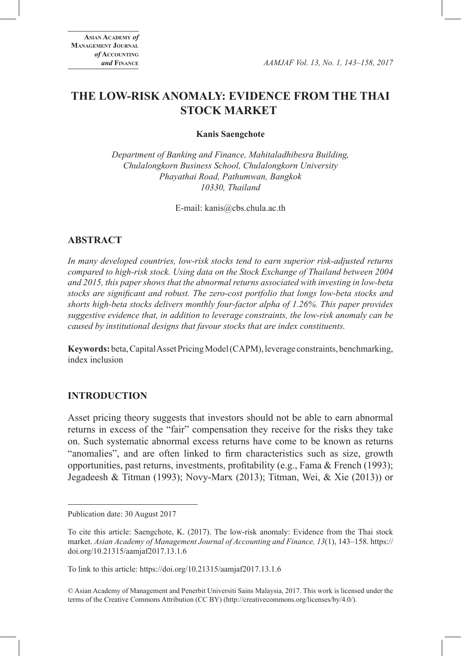# **THE LOW-RISK ANOMALY: EVIDENCE FROM THE THAI STOCK MARKET**

**Kanis Saengchote**

*Department of Banking and Finance, Mahitaladhibesra Building, Chulalongkorn Business School, Chulalongkorn University Phayathai Road, Pathumwan, Bangkok 10330, Thailand*

E-mail: kanis@cbs.chula.ac.th

# **ABSTRACT**

*In many developed countries, low-risk stocks tend to earn superior risk-adjusted returns compared to high-risk stock. Using data on the Stock Exchange of Thailand between 2004 and 2015, this paper shows that the abnormal returns associated with investing in low-beta stocks are significant and robust. The zero-cost portfolio that longs low-beta stocks and shorts high-beta stocks delivers monthly four-factor alpha of 1.26%. This paper provides suggestive evidence that, in addition to leverage constraints, the low-risk anomaly can be caused by institutional designs that favour stocks that are index constituents.*

**Keywords:** beta, Capital Asset Pricing Model (CAPM), leverage constraints, benchmarking, index inclusion

# **INTRODUCTION**

Asset pricing theory suggests that investors should not be able to earn abnormal returns in excess of the "fair" compensation they receive for the risks they take on. Such systematic abnormal excess returns have come to be known as returns "anomalies", and are often linked to firm characteristics such as size, growth opportunities, past returns, investments, profitability (e.g., Fama & French (1993); Jegadeesh & Titman (1993); Novy-Marx (2013); Titman, Wei, & Xie (2013)) or

© Asian Academy of Management and Penerbit Universiti Sains Malaysia, 2017. This work is licensed under the terms of the Creative Commons Attribution (CC BY) (http://creativecommons.org/licenses/by/4.0/).

Publication date: 30 August 2017

To cite this article: Saengchote, K. (2017). The low-risk anomaly: Evidence from the Thai stock market. *Asian Academy of Management Journal of Accounting and Finance, 13*(1), 143–158. https:// doi.org/10.21315/aamjaf2017.13.1.6

To link to this article: https://doi.org/10.21315/aamjaf2017.13.1.6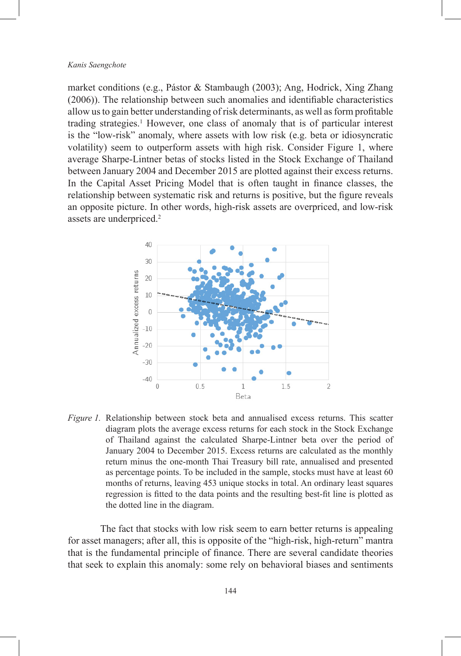market conditions (e.g., Pástor & Stambaugh (2003); Ang, Hodrick, Xing Zhang (2006)). The relationship between such anomalies and identifiable characteristics allow us to gain better understanding of risk determinants, as well as form profitable trading strategies.<sup>1</sup> However, one class of anomaly that is of particular interest is the "low-risk" anomaly, where assets with low risk (e.g. beta or idiosyncratic volatility) seem to outperform assets with high risk. Consider Figure 1, where average Sharpe-Lintner betas of stocks listed in the Stock Exchange of Thailand between January 2004 and December 2015 are plotted against their excess returns. In the Capital Asset Pricing Model that is often taught in finance classes, the relationship between systematic risk and returns is positive, but the figure reveals an opposite picture. In other words, high-risk assets are overpriced, and low-risk assets are underpriced.<sup>2</sup>



*Figure 1.* Relationship between stock beta and annualised excess returns. This scatter diagram plots the average excess returns for each stock in the Stock Exchange of Thailand against the calculated Sharpe-Lintner beta over the period of January 2004 to December 2015. Excess returns are calculated as the monthly return minus the one-month Thai Treasury bill rate, annualised and presented as percentage points. To be included in the sample, stocks must have at least 60 months of returns, leaving 453 unique stocks in total. An ordinary least squares regression is fitted to the data points and the resulting best-fit line is plotted as the dotted line in the diagram.

The fact that stocks with low risk seem to earn better returns is appealing for asset managers; after all, this is opposite of the "high-risk, high-return" mantra that is the fundamental principle of finance. There are several candidate theories that seek to explain this anomaly: some rely on behavioral biases and sentiments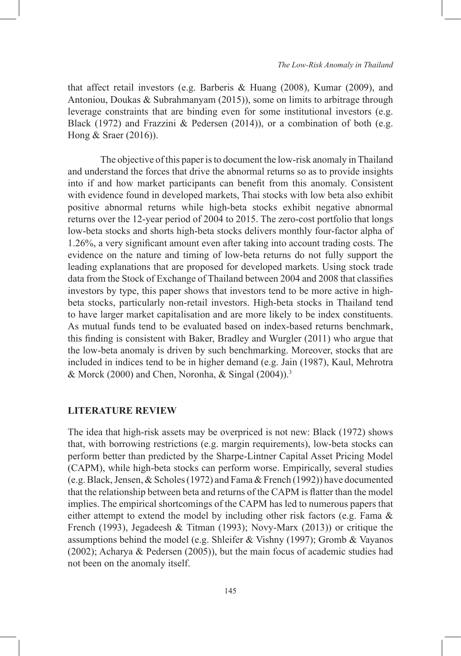that affect retail investors (e.g. Barberis & Huang (2008), Kumar (2009), and Antoniou, Doukas & Subrahmanyam (2015)), some on limits to arbitrage through leverage constraints that are binding even for some institutional investors (e.g. Black (1972) and Frazzini & Pedersen (2014)), or a combination of both (e.g. Hong & Sraer (2016)).

The objective of this paper is to document the low-risk anomaly in Thailand and understand the forces that drive the abnormal returns so as to provide insights into if and how market participants can benefit from this anomaly. Consistent with evidence found in developed markets, Thai stocks with low beta also exhibit positive abnormal returns while high-beta stocks exhibit negative abnormal returns over the 12-year period of 2004 to 2015. The zero-cost portfolio that longs low-beta stocks and shorts high-beta stocks delivers monthly four-factor alpha of 1.26%, a very significant amount even after taking into account trading costs. The evidence on the nature and timing of low-beta returns do not fully support the leading explanations that are proposed for developed markets. Using stock trade data from the Stock of Exchange of Thailand between 2004 and 2008 that classifies investors by type, this paper shows that investors tend to be more active in highbeta stocks, particularly non-retail investors. High-beta stocks in Thailand tend to have larger market capitalisation and are more likely to be index constituents. As mutual funds tend to be evaluated based on index-based returns benchmark, this finding is consistent with Baker, Bradley and Wurgler (2011) who argue that the low-beta anomaly is driven by such benchmarking. Moreover, stocks that are included in indices tend to be in higher demand (e.g. Jain (1987), Kaul, Mehrotra & Morck (2000) and Chen, Noronha, & Singal (2004)).<sup>3</sup>

# **LITERATURE REVIEW**

The idea that high-risk assets may be overpriced is not new: Black (1972) shows that, with borrowing restrictions (e.g. margin requirements), low-beta stocks can perform better than predicted by the Sharpe-Lintner Capital Asset Pricing Model (CAPM), while high-beta stocks can perform worse. Empirically, several studies (e.g. Black, Jensen, & Scholes (1972) and Fama & French (1992)) have documented that the relationship between beta and returns of the CAPM is flatter than the model implies. The empirical shortcomings of the CAPM has led to numerous papers that either attempt to extend the model by including other risk factors (e.g. Fama  $\&$ French (1993), Jegadeesh & Titman (1993); Novy-Marx (2013)) or critique the assumptions behind the model (e.g. Shleifer & Vishny (1997); Gromb & Vayanos (2002); Acharya & Pedersen (2005)), but the main focus of academic studies had not been on the anomaly itself.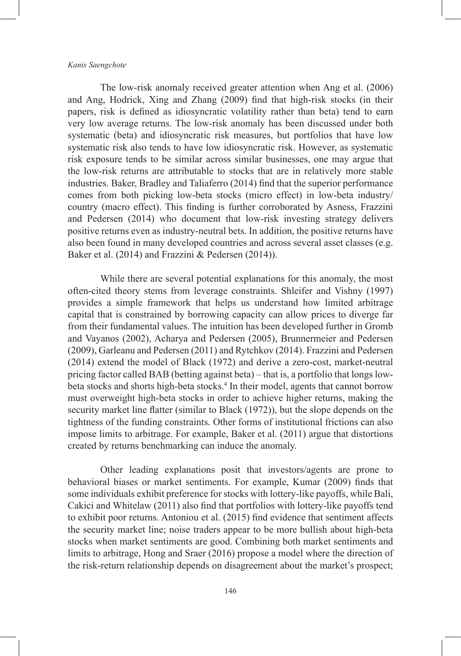The low-risk anomaly received greater attention when Ang et al. (2006) and Ang, Hodrick, Xing and Zhang (2009) find that high-risk stocks (in their papers, risk is defined as idiosyncratic volatility rather than beta) tend to earn very low average returns. The low-risk anomaly has been discussed under both systematic (beta) and idiosyncratic risk measures, but portfolios that have low systematic risk also tends to have low idiosyncratic risk. However, as systematic risk exposure tends to be similar across similar businesses, one may argue that the low-risk returns are attributable to stocks that are in relatively more stable industries. Baker, Bradley and Taliaferro (2014) find that the superior performance comes from both picking low-beta stocks (micro effect) in low-beta industry/ country (macro effect). This finding is further corroborated by Asness, Frazzini and Pedersen (2014) who document that low-risk investing strategy delivers positive returns even as industry-neutral bets. In addition, the positive returns have also been found in many developed countries and across several asset classes (e.g. Baker et al. (2014) and Frazzini & Pedersen (2014)).

While there are several potential explanations for this anomaly, the most often-cited theory stems from leverage constraints. Shleifer and Vishny (1997) provides a simple framework that helps us understand how limited arbitrage capital that is constrained by borrowing capacity can allow prices to diverge far from their fundamental values. The intuition has been developed further in Gromb and Vayanos (2002), Acharya and Pedersen (2005), Brunnermeier and Pedersen (2009), Garleanu and Pedersen (2011) and Rytchkov (2014). Frazzini and Pedersen (2014) extend the model of Black (1972) and derive a zero-cost, market-neutral pricing factor called BAB (betting against beta) – that is, a portfolio that longs lowbeta stocks and shorts high-beta stocks.<sup>4</sup> In their model, agents that cannot borrow must overweight high-beta stocks in order to achieve higher returns, making the security market line flatter (similar to Black (1972)), but the slope depends on the tightness of the funding constraints. Other forms of institutional frictions can also impose limits to arbitrage. For example, Baker et al. (2011) argue that distortions created by returns benchmarking can induce the anomaly.

Other leading explanations posit that investors/agents are prone to behavioral biases or market sentiments. For example, Kumar (2009) finds that some individuals exhibit preference for stocks with lottery-like payoffs, while Bali, Cakici and Whitelaw (2011) also find that portfolios with lottery-like payoffs tend to exhibit poor returns. Antoniou et al. (2015) find evidence that sentiment affects the security market line; noise traders appear to be more bullish about high-beta stocks when market sentiments are good. Combining both market sentiments and limits to arbitrage, Hong and Sraer (2016) propose a model where the direction of the risk-return relationship depends on disagreement about the market's prospect;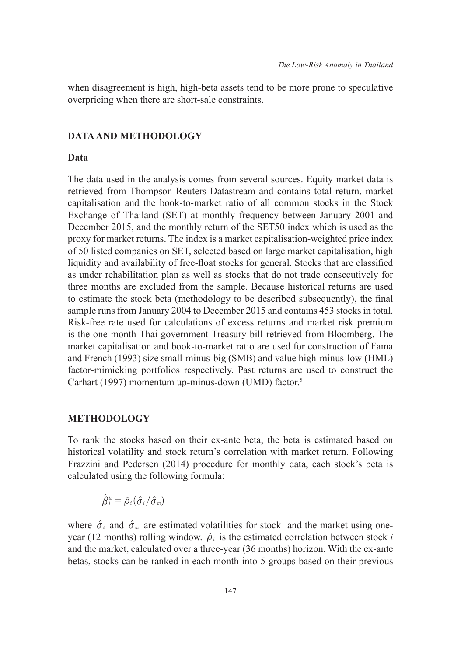when disagreement is high, high-beta assets tend to be more prone to speculative overpricing when there are short-sale constraints.

### **DATA AND METHODOLOGY**

# **Data**

The data used in the analysis comes from several sources. Equity market data is retrieved from Thompson Reuters Datastream and contains total return, market capitalisation and the book-to-market ratio of all common stocks in the Stock Exchange of Thailand (SET) at monthly frequency between January 2001 and December 2015, and the monthly return of the SET50 index which is used as the proxy for market returns. The index is a market capitalisation-weighted price index of 50 listed companies on SET, selected based on large market capitalisation, high liquidity and availability of free-float stocks for general. Stocks that are classified as under rehabilitation plan as well as stocks that do not trade consecutively for three months are excluded from the sample. Because historical returns are used to estimate the stock beta (methodology to be described subsequently), the final sample runs from January 2004 to December 2015 and contains 453 stocks in total. Risk-free rate used for calculations of excess returns and market risk premium is the one-month Thai government Treasury bill retrieved from Bloomberg. The market capitalisation and book-to-market ratio are used for construction of Fama and French (1993) size small-minus-big (SMB) and value high-minus-low (HML) factor-mimicking portfolios respectively. Past returns are used to construct the Carhart (1997) momentum up-minus-down (UMD) factor.<sup>5</sup>

### **METHODOLOGY**

To rank the stocks based on their ex-ante beta, the beta is estimated based on historical volatility and stock return's correlation with market return. Following Frazzini and Pedersen (2014) procedure for monthly data, each stock's beta is calculated using the following formula:

$$
\hat{\beta}_i^{ts} = \hat{\rho}_i(\hat{\sigma}_i/\hat{\sigma}_m)
$$

where  $\hat{\sigma}_i$  and  $\hat{\sigma}_m$  are estimated volatilities for stock and the market using oneyear (12 months) rolling window.  $\hat{\rho}_i$  is the estimated correlation between stock *i* and the market, calculated over a three-year (36 months) horizon. With the ex-ante betas, stocks can be ranked in each month into 5 groups based on their previous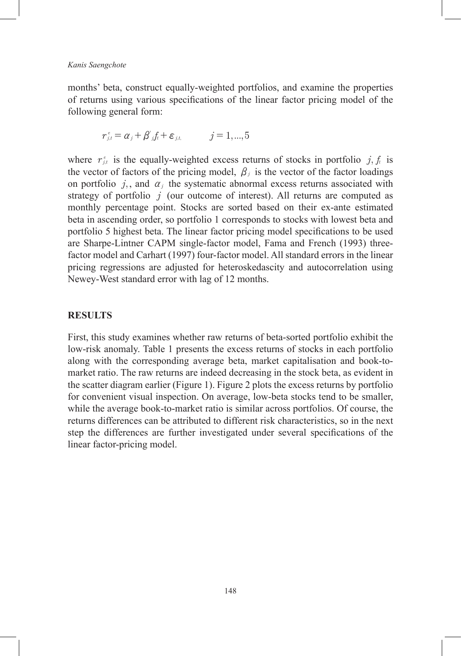months' beta, construct equally-weighted portfolios, and examine the properties of returns using various specifications of the linear factor pricing model of the following general form:

$$
r_{j,t}^e = \alpha_j + \beta'_{j,t} + \varepsilon_{j,t}, \qquad j = 1,...,5
$$

where  $r_{j,t}^e$  is the equally-weighted excess returns of stocks in portfolio  $j, f_t$  is the vector of factors of the pricing model,  $\beta$ <sup>*j*</sup> is the vector of the factor loadings on portfolio  $j$ , and  $\alpha_j$  the systematic abnormal excess returns associated with strategy of portfolio *j* (our outcome of interest). All returns are computed as monthly percentage point. Stocks are sorted based on their ex-ante estimated beta in ascending order, so portfolio 1 corresponds to stocks with lowest beta and portfolio 5 highest beta. The linear factor pricing model specifications to be used are Sharpe-Lintner CAPM single-factor model, Fama and French (1993) threefactor model and Carhart (1997) four-factor model. All standard errors in the linear pricing regressions are adjusted for heteroskedascity and autocorrelation using Newey-West standard error with lag of 12 months.

# **RESULTS**

First, this study examines whether raw returns of beta-sorted portfolio exhibit the low-risk anomaly. Table 1 presents the excess returns of stocks in each portfolio along with the corresponding average beta, market capitalisation and book-tomarket ratio. The raw returns are indeed decreasing in the stock beta, as evident in the scatter diagram earlier (Figure 1). Figure 2 plots the excess returns by portfolio for convenient visual inspection. On average, low-beta stocks tend to be smaller, while the average book-to-market ratio is similar across portfolios. Of course, the returns differences can be attributed to different risk characteristics, so in the next step the differences are further investigated under several specifications of the linear factor-pricing model.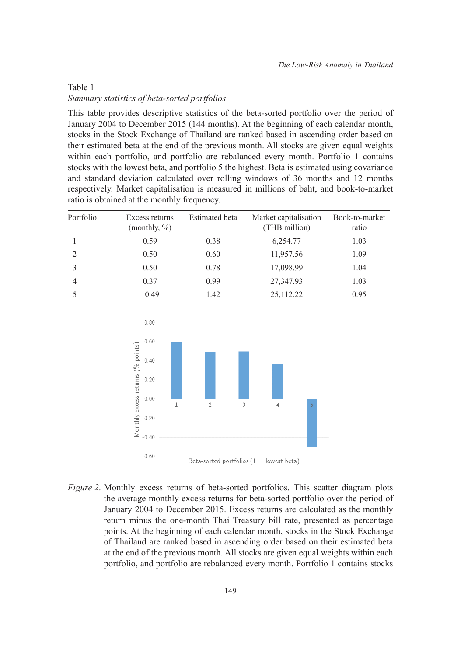# Table 1 *Summary statistics of beta-sorted portfolios*

This table provides descriptive statistics of the beta-sorted portfolio over the period of January 2004 to December 2015 (144 months). At the beginning of each calendar month, stocks in the Stock Exchange of Thailand are ranked based in ascending order based on their estimated beta at the end of the previous month. All stocks are given equal weights within each portfolio, and portfolio are rebalanced every month. Portfolio 1 contains stocks with the lowest beta, and portfolio 5 the highest. Beta is estimated using covariance and standard deviation calculated over rolling windows of 36 months and 12 months respectively. Market capitalisation is measured in millions of baht, and book-to-market ratio is obtained at the monthly frequency.

| Portfolio | Excess returns<br>(monthly, %) | <b>Estimated</b> beta | Market capitalisation<br>(THB million) | Book-to-market<br>ratio |
|-----------|--------------------------------|-----------------------|----------------------------------------|-------------------------|
|           | 0.59                           | 0.38                  | 6,254.77                               | 1.03                    |
|           | 0.50                           | 0.60                  | 11,957.56                              | 1.09                    |
|           | 0.50                           | 0.78                  | 17,098.99                              | 1.04                    |
| 4         | 0.37                           | 0.99                  | 27,347.93                              | 1.03                    |
|           | $-0.49$                        | 1.42                  | 25,112.22                              | 0.95                    |



*Figure 2*. Monthly excess returns of beta-sorted portfolios. This scatter diagram plots the average monthly excess returns for beta-sorted portfolio over the period of January 2004 to December 2015. Excess returns are calculated as the monthly return minus the one-month Thai Treasury bill rate, presented as percentage points. At the beginning of each calendar month, stocks in the Stock Exchange of Thailand are ranked based in ascending order based on their estimated beta at the end of the previous month. All stocks are given equal weights within each portfolio, and portfolio are rebalanced every month. Portfolio 1 contains stocks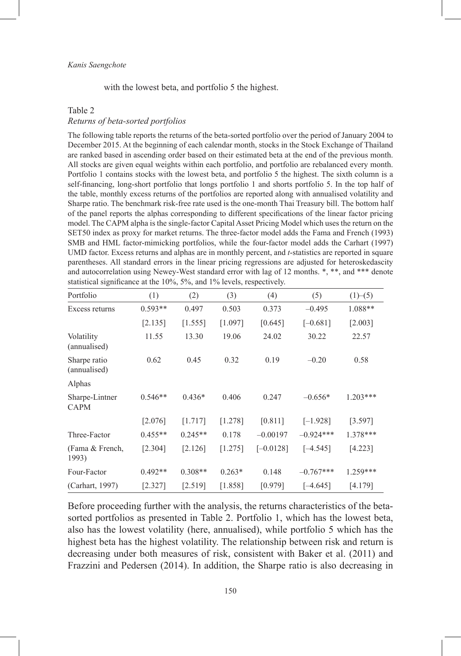with the lowest beta, and portfolio 5 the highest.

#### Table 2

### *Returns of beta-sorted portfolios*

The following table reports the returns of the beta-sorted portfolio over the period of January 2004 to December 2015. At the beginning of each calendar month, stocks in the Stock Exchange of Thailand are ranked based in ascending order based on their estimated beta at the end of the previous month. All stocks are given equal weights within each portfolio, and portfolio are rebalanced every month. Portfolio 1 contains stocks with the lowest beta, and portfolio 5 the highest. The sixth column is a self-financing, long-short portfolio that longs portfolio 1 and shorts portfolio 5. In the top half of the table, monthly excess returns of the portfolios are reported along with annualised volatility and Sharpe ratio. The benchmark risk-free rate used is the one-month Thai Treasury bill. The bottom half of the panel reports the alphas corresponding to different specifications of the linear factor pricing model. The CAPM alpha is the single-factor Capital Asset Pricing Model which uses the return on the SET50 index as proxy for market returns. The three-factor model adds the Fama and French (1993) SMB and HML factor-mimicking portfolios, while the four-factor model adds the Carhart (1997) UMD factor. Excess returns and alphas are in monthly percent, and *t*-statistics are reported in square parentheses. All standard errors in the linear pricing regressions are adjusted for heteroskedascity and autocorrelation using Newey-West standard error with lag of 12 months. \*, \*\*, and \*\*\* denote statistical significance at the 10%, 5%, and 1% levels, respectively.

| Portfolio                     | (1)       | (2)       | (3)      | (4)         | (5)         | (1)–(5)    |
|-------------------------------|-----------|-----------|----------|-------------|-------------|------------|
| Excess returns                | $0.593**$ | 0.497     | 0.503    | 0.373       | $-0.495$    | 1.088**    |
|                               | [2.135]   | [1.555]   | [1.097]  | [0.645]     | $[-0.681]$  | [2.003]    |
| Volatility<br>(annualised)    | 11.55     | 13.30     | 19.06    | 24.02       | 30.22       | 22.57      |
| Sharpe ratio<br>(annualised)  | 0.62      | 0.45      | 0.32     | 0.19        | $-0.20$     | 0.58       |
| Alphas                        |           |           |          |             |             |            |
| Sharpe-Lintner<br><b>CAPM</b> | $0.546**$ | $0.436*$  | 0.406    | 0.247       | $-0.656*$   | $1.203***$ |
|                               | [2.076]   | [1.717]   | [1.278]  | [0.811]     | $[-1.928]$  | [3.597]    |
| Three-Factor                  | $0.455**$ | $0.245**$ | 0.178    | $-0.00197$  | $-0.924***$ | 1.378***   |
| (Fama & French,<br>1993)      | [2.304]   | [2.126]   | [1.275]  | $[-0.0128]$ | $[-4.545]$  | [4.223]    |
| Four-Factor                   | $0.492**$ | $0.308**$ | $0.263*$ | 0.148       | $-0.767***$ | $1.259***$ |
| (Carhart, 1997)               | [2.327]   | [2.519]   | [1.858]  | [0.979]     | $[-4.645]$  | [4.179]    |

Before proceeding further with the analysis, the returns characteristics of the betasorted portfolios as presented in Table 2. Portfolio 1, which has the lowest beta, also has the lowest volatility (here, annualised), while portfolio 5 which has the highest beta has the highest volatility. The relationship between risk and return is decreasing under both measures of risk, consistent with Baker et al. (2011) and Frazzini and Pedersen (2014). In addition, the Sharpe ratio is also decreasing in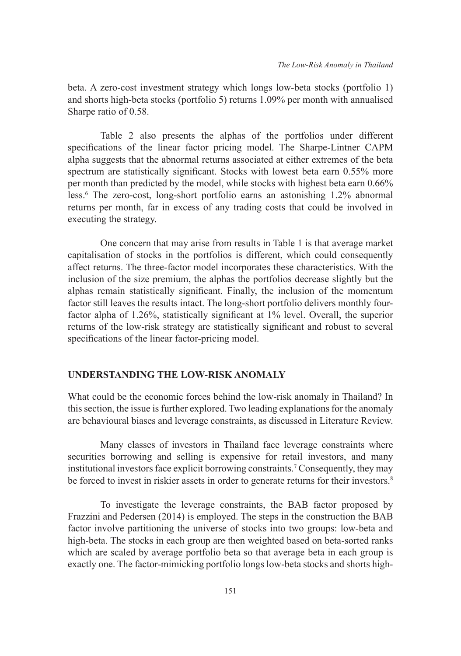beta. A zero-cost investment strategy which longs low-beta stocks (portfolio 1) and shorts high-beta stocks (portfolio 5) returns 1.09% per month with annualised Sharpe ratio of 0.58.

Table 2 also presents the alphas of the portfolios under different specifications of the linear factor pricing model. The Sharpe-Lintner CAPM alpha suggests that the abnormal returns associated at either extremes of the beta spectrum are statistically significant. Stocks with lowest beta earn 0.55% more per month than predicted by the model, while stocks with highest beta earn 0.66% less.<sup>6</sup> The zero-cost, long-short portfolio earns an astonishing 1.2% abnormal returns per month, far in excess of any trading costs that could be involved in executing the strategy.

One concern that may arise from results in Table 1 is that average market capitalisation of stocks in the portfolios is different, which could consequently affect returns. The three-factor model incorporates these characteristics. With the inclusion of the size premium, the alphas the portfolios decrease slightly but the alphas remain statistically significant. Finally, the inclusion of the momentum factor still leaves the results intact. The long-short portfolio delivers monthly fourfactor alpha of 1.26%, statistically significant at 1% level. Overall, the superior returns of the low-risk strategy are statistically significant and robust to several specifications of the linear factor-pricing model.

# **UNDERSTANDING THE LOW-RISK ANOMALY**

What could be the economic forces behind the low-risk anomaly in Thailand? In this section, the issue is further explored. Two leading explanations for the anomaly are behavioural biases and leverage constraints, as discussed in Literature Review.

Many classes of investors in Thailand face leverage constraints where securities borrowing and selling is expensive for retail investors, and many institutional investors face explicit borrowing constraints.<sup>7</sup> Consequently, they may be forced to invest in riskier assets in order to generate returns for their investors.<sup>8</sup>

To investigate the leverage constraints, the BAB factor proposed by Frazzini and Pedersen (2014) is employed. The steps in the construction the BAB factor involve partitioning the universe of stocks into two groups: low-beta and high-beta. The stocks in each group are then weighted based on beta-sorted ranks which are scaled by average portfolio beta so that average beta in each group is exactly one. The factor-mimicking portfolio longs low-beta stocks and shorts high-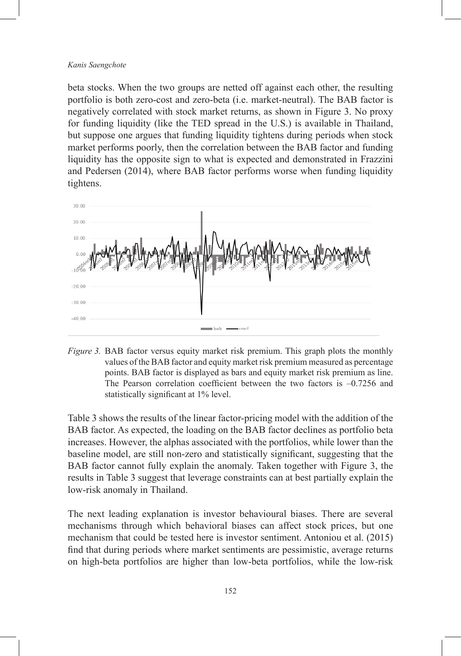beta stocks. When the two groups are netted off against each other, the resulting portfolio is both zero-cost and zero-beta (i.e. market-neutral). The BAB factor is negatively correlated with stock market returns, as shown in Figure 3. No proxy for funding liquidity (like the TED spread in the U.S.) is available in Thailand, but suppose one argues that funding liquidity tightens during periods when stock market performs poorly, then the correlation between the BAB factor and funding liquidity has the opposite sign to what is expected and demonstrated in Frazzini and Pedersen (2014), where BAB factor performs worse when funding liquidity tightens.



*Figure 3.* BAB factor versus equity market risk premium. This graph plots the monthly values of the BAB factor and equity market risk premium measured as percentage points. BAB factor is displayed as bars and equity market risk premium as line. The Pearson correlation coefficient between the two factors is –0.7256 and statistically significant at 1% level.

Table 3 shows the results of the linear factor-pricing model with the addition of the BAB factor. As expected, the loading on the BAB factor declines as portfolio beta increases. However, the alphas associated with the portfolios, while lower than the baseline model, are still non-zero and statistically significant, suggesting that the BAB factor cannot fully explain the anomaly. Taken together with Figure 3, the results in Table 3 suggest that leverage constraints can at best partially explain the low-risk anomaly in Thailand.

The next leading explanation is investor behavioural biases. There are several mechanisms through which behavioral biases can affect stock prices, but one mechanism that could be tested here is investor sentiment. Antoniou et al. (2015) find that during periods where market sentiments are pessimistic, average returns on high-beta portfolios are higher than low-beta portfolios, while the low-risk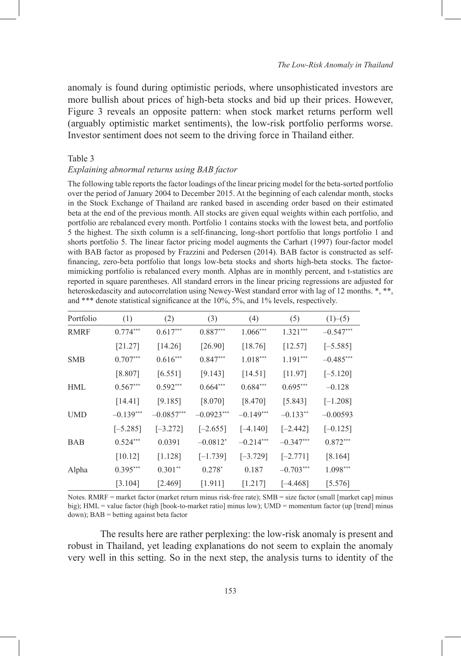anomaly is found during optimistic periods, where unsophisticated investors are more bullish about prices of high-beta stocks and bid up their prices. However, Figure 3 reveals an opposite pattern: when stock market returns perform well (arguably optimistic market sentiments), the low-risk portfolio performs worse. Investor sentiment does not seem to the driving force in Thailand either.

### Table 3

### *Explaining abnormal returns using BAB factor*

The following table reports the factor loadings of the linear pricing model for the beta-sorted portfolio over the period of January 2004 to December 2015. At the beginning of each calendar month, stocks in the Stock Exchange of Thailand are ranked based in ascending order based on their estimated beta at the end of the previous month. All stocks are given equal weights within each portfolio, and portfolio are rebalanced every month. Portfolio 1 contains stocks with the lowest beta, and portfolio 5 the highest. The sixth column is a self-financing, long-short portfolio that longs portfolio 1 and shorts portfolio 5. The linear factor pricing model augments the Carhart (1997) four-factor model with BAB factor as proposed by Frazzini and Pedersen (2014). BAB factor is constructed as selffinancing, zero-beta portfolio that longs low-beta stocks and shorts high-beta stocks. The factormimicking portfolio is rebalanced every month. Alphas are in monthly percent, and t-statistics are reported in square parentheses. All standard errors in the linear pricing regressions are adjusted for heteroskedascity and autocorrelation using Newey-West standard error with lag of 12 months.  $*, **$ , and \*\*\* denote statistical significance at the 10%, 5%, and 1% levels, respectively.

| Portfolio   | (1)         | (2)          | (3)          | (4)         | (5)         | (1)–(5)     |
|-------------|-------------|--------------|--------------|-------------|-------------|-------------|
| <b>RMRF</b> | $0.774***$  | $0.617***$   | $0.887***$   | $1.066***$  | $1.321***$  | $-0.547***$ |
|             | [21.27]     | [14.26]      | [26.90]      | [18.76]     | [12.57]     | $[-5.585]$  |
| <b>SMB</b>  | $0.707***$  | $0.616***$   | $0.847***$   | $1.018***$  | $1.191***$  | $-0.485***$ |
|             | [8.807]     | [6.551]      | [9.143]      | [14.51]     | [11.97]     | $[-5.120]$  |
| HML         | $0.567***$  | $0.592***$   | $0.664***$   | $0.684***$  | $0.695***$  | $-0.128$    |
|             | [14.41]     | [9.185]      | [8.070]      | [8.470]     | [5.843]     | $[-1.208]$  |
| <b>UMD</b>  | $-0.139***$ | $-0.0857***$ | $-0.0923***$ | $-0.149***$ | $-0.133**$  | $-0.00593$  |
|             | $[-5.285]$  | $[-3.272]$   | $[-2.655]$   | $[-4.140]$  | $[-2.442]$  | $[-0.125]$  |
| <b>BAB</b>  | $0.524***$  | 0.0391       | $-0.0812*$   | $-0.214***$ | $-0.347***$ | $0.872***$  |
|             | [10.12]     | [1.128]      | $[-1.739]$   | $[-3.729]$  | $[-2.771]$  | [8.164]     |
| Alpha       | $0.395***$  | $0.301**$    | $0.278*$     | 0.187       | $-0.703***$ | $1.098***$  |
|             | [3.104]     | [2.469]      | [1.911]      | [1.217]     | $[-4.468]$  | [5.576]     |

Notes. RMRF = market factor (market return minus risk-free rate); SMB = size factor (small [market cap] minus big); HML = value factor (high [book-to-market ratio] minus low); UMD = momentum factor (up [trend] minus down); BAB = betting against beta factor

The results here are rather perplexing: the low-risk anomaly is present and robust in Thailand, yet leading explanations do not seem to explain the anomaly very well in this setting. So in the next step, the analysis turns to identity of the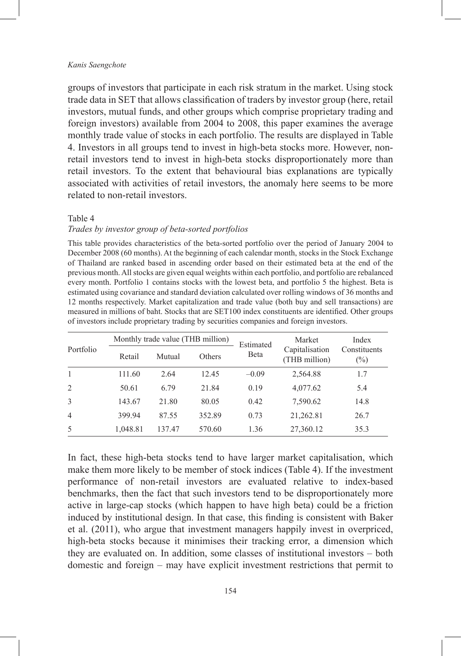groups of investors that participate in each risk stratum in the market. Using stock trade data in SET that allows classification of traders by investor group (here, retail investors, mutual funds, and other groups which comprise proprietary trading and foreign investors) available from 2004 to 2008, this paper examines the average monthly trade value of stocks in each portfolio. The results are displayed in Table 4. Investors in all groups tend to invest in high-beta stocks more. However, nonretail investors tend to invest in high-beta stocks disproportionately more than retail investors. To the extent that behavioural bias explanations are typically associated with activities of retail investors, the anomaly here seems to be more related to non-retail investors.

#### Table 4

### *Trades by investor group of beta-sorted portfolios*

This table provides characteristics of the beta-sorted portfolio over the period of January 2004 to December 2008 (60 months). At the beginning of each calendar month, stocks in the Stock Exchange of Thailand are ranked based in ascending order based on their estimated beta at the end of the previous month. All stocks are given equal weights within each portfolio, and portfolio are rebalanced every month. Portfolio 1 contains stocks with the lowest beta, and portfolio 5 the highest. Beta is estimated using covariance and standard deviation calculated over rolling windows of 36 months and 12 months respectively. Market capitalization and trade value (both buy and sell transactions) are measured in millions of baht. Stocks that are SET100 index constituents are identified. Other groups of investors include proprietary trading by securities companies and foreign investors.

| Portfolio      |          | Monthly trade value (THB million) |        |                           | Market                          | Index                  |
|----------------|----------|-----------------------------------|--------|---------------------------|---------------------------------|------------------------|
|                | Retail   | Mutual                            | Others | Estimated<br><b>B</b> eta | Capitalisation<br>(THB million) | Constituents<br>$(\%)$ |
|                | 111.60   | 2.64                              | 12.45  | $-0.09$                   | 2,564.88                        | 1.7                    |
| $\overline{c}$ | 50.61    | 6.79                              | 21.84  | 0.19                      | 4,077.62                        | 5.4                    |
| 3              | 143.67   | 21.80                             | 80.05  | 0.42                      | 7,590.62                        | 14.8                   |
| $\overline{4}$ | 399.94   | 87.55                             | 352.89 | 0.73                      | 21,262.81                       | 26.7                   |
| 5              | 1,048.81 | 137.47                            | 570.60 | 1.36                      | 27,360.12                       | 35.3                   |

In fact, these high-beta stocks tend to have larger market capitalisation, which make them more likely to be member of stock indices (Table 4). If the investment performance of non-retail investors are evaluated relative to index-based benchmarks, then the fact that such investors tend to be disproportionately more active in large-cap stocks (which happen to have high beta) could be a friction induced by institutional design. In that case, this finding is consistent with Baker et al. (2011), who argue that investment managers happily invest in overpriced, high-beta stocks because it minimises their tracking error, a dimension which they are evaluated on. In addition, some classes of institutional investors – both domestic and foreign – may have explicit investment restrictions that permit to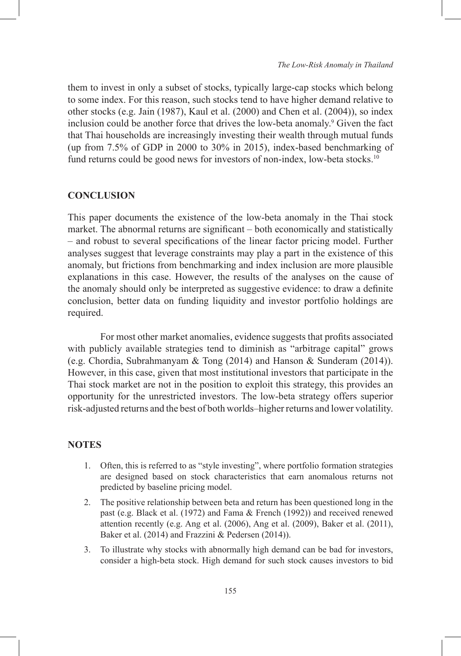them to invest in only a subset of stocks, typically large-cap stocks which belong to some index. For this reason, such stocks tend to have higher demand relative to other stocks (e.g. Jain (1987), Kaul et al. (2000) and Chen et al. (2004)), so index inclusion could be another force that drives the low-beta anomaly.<sup>9</sup> Given the fact that Thai households are increasingly investing their wealth through mutual funds (up from 7.5% of GDP in 2000 to 30% in 2015), index-based benchmarking of fund returns could be good news for investors of non-index, low-beta stocks.<sup>10</sup>

# **CONCLUSION**

This paper documents the existence of the low-beta anomaly in the Thai stock market. The abnormal returns are significant – both economically and statistically – and robust to several specifications of the linear factor pricing model. Further analyses suggest that leverage constraints may play a part in the existence of this anomaly, but frictions from benchmarking and index inclusion are more plausible explanations in this case. However, the results of the analyses on the cause of the anomaly should only be interpreted as suggestive evidence: to draw a definite conclusion, better data on funding liquidity and investor portfolio holdings are required.

For most other market anomalies, evidence suggests that profits associated with publicly available strategies tend to diminish as "arbitrage capital" grows (e.g. Chordia, Subrahmanyam & Tong (2014) and Hanson & Sunderam (2014)). However, in this case, given that most institutional investors that participate in the Thai stock market are not in the position to exploit this strategy, this provides an opportunity for the unrestricted investors. The low-beta strategy offers superior risk-adjusted returns and the best of both worlds–higher returns and lower volatility.

### **NOTES**

- 1. Often, this is referred to as "style investing", where portfolio formation strategies are designed based on stock characteristics that earn anomalous returns not predicted by baseline pricing model.
- 2. The positive relationship between beta and return has been questioned long in the past (e.g. Black et al. (1972) and Fama & French (1992)) and received renewed attention recently (e.g. Ang et al. (2006), Ang et al. (2009), Baker et al. (2011), Baker et al. (2014) and Frazzini & Pedersen (2014)).
- 3. To illustrate why stocks with abnormally high demand can be bad for investors, consider a high-beta stock. High demand for such stock causes investors to bid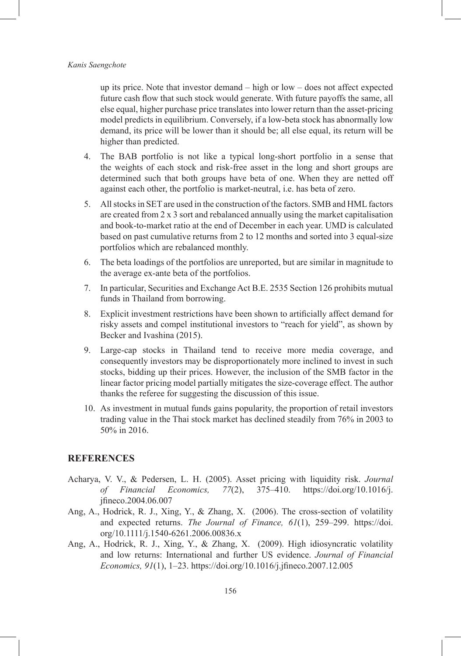up its price. Note that investor demand – high or low – does not affect expected future cash flow that such stock would generate. With future payoffs the same, all else equal, higher purchase price translates into lower return than the asset-pricing model predicts in equilibrium. Conversely, if a low-beta stock has abnormally low demand, its price will be lower than it should be; all else equal, its return will be higher than predicted.

- 4. The BAB portfolio is not like a typical long-short portfolio in a sense that the weights of each stock and risk-free asset in the long and short groups are determined such that both groups have beta of one. When they are netted off against each other, the portfolio is market-neutral, i.e. has beta of zero.
- 5. All stocks in SET are used in the construction of the factors. SMB and HML factors are created from 2 x 3 sort and rebalanced annually using the market capitalisation and book-to-market ratio at the end of December in each year. UMD is calculated based on past cumulative returns from 2 to 12 months and sorted into 3 equal-size portfolios which are rebalanced monthly.
- 6. The beta loadings of the portfolios are unreported, but are similar in magnitude to the average ex-ante beta of the portfolios.
- 7. In particular, Securities and Exchange Act B.E. 2535 Section 126 prohibits mutual funds in Thailand from borrowing.
- 8. Explicit investment restrictions have been shown to artificially affect demand for risky assets and compel institutional investors to "reach for yield", as shown by Becker and Ivashina (2015).
- 9. Large-cap stocks in Thailand tend to receive more media coverage, and consequently investors may be disproportionately more inclined to invest in such stocks, bidding up their prices. However, the inclusion of the SMB factor in the linear factor pricing model partially mitigates the size-coverage effect. The author thanks the referee for suggesting the discussion of this issue.
- 10. As investment in mutual funds gains popularity, the proportion of retail investors trading value in the Thai stock market has declined steadily from 76% in 2003 to 50% in 2016.

### **REFERENCES**

- Acharya, V. V., & Pedersen, L. H. (2005). Asset pricing with liquidity risk. *Journal of Financial Economics, 77*(2), 375–410. https://doi.org/10.1016/j. jfineco.2004.06.007
- Ang, A., Hodrick, R. J., Xing, Y., & Zhang, X. (2006). The cross-section of volatility and expected returns. *The Journal of Finance, 61*(1), 259–299. https://doi. org/10.1111/j.1540-6261.2006.00836.x
- Ang, A., Hodrick, R. J., Xing, Y., & Zhang, X. (2009). High idiosyncratic volatility and low returns: International and further US evidence. *Journal of Financial Economics, 91*(1), 1–23. https://doi.org/10.1016/j.jfineco.2007.12.005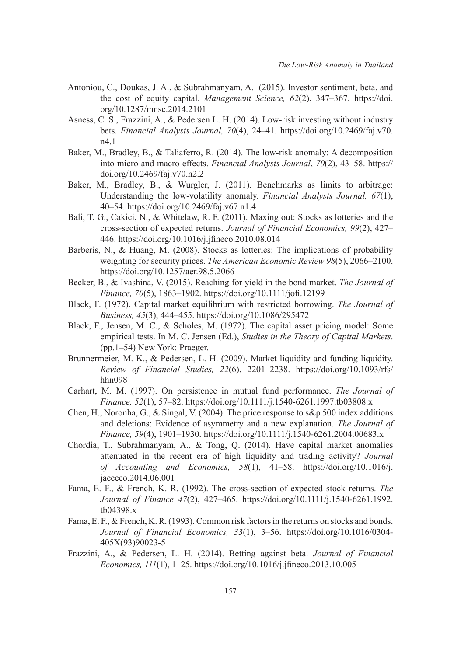- Antoniou, C., Doukas, J. A., & Subrahmanyam, A. (2015). Investor sentiment, beta, and the cost of equity capital. *Management Science, 62*(2), 347–367. https://doi. org/10.1287/mnsc.2014.2101
- Asness, C. S., Frazzini, A., & Pedersen L. H. (2014). Low-risk investing without industry bets. *Financial Analysts Journal, 70*(4), 24–41. https://doi.org/10.2469/faj.v70. n4.1
- Baker, M., Bradley, B., & Taliaferro, R. (2014). The low-risk anomaly: A decomposition into micro and macro effects. *Financial Analysts Journal*, *70*(2), 43–58. https:// doi.org/10.2469/faj.v70.n2.2
- Baker, M., Bradley, B., & Wurgler, J. (2011). Benchmarks as limits to arbitrage: Understanding the low-volatility anomaly. *Financial Analysts Journal, 67*(1), 40–54. https://doi.org/10.2469/faj.v67.n1.4
- Bali, T. G., Cakici, N., & Whitelaw, R. F. (2011). Maxing out: Stocks as lotteries and the cross-section of expected returns. *Journal of Financial Economics, 99*(2), 427– 446. https://doi.org/10.1016/j.jfineco.2010.08.014
- Barberis, N., & Huang, M. (2008). Stocks as lotteries: The implications of probability weighting for security prices. *The American Economic Review 98*(5), 2066–2100. https://doi.org/10.1257/aer.98.5.2066
- Becker, B., & Ivashina, V. (2015). Reaching for yield in the bond market. *The Journal of Finance, 70*(5), 1863–1902. https://doi.org/10.1111/jofi.12199
- Black, F. (1972). Capital market equilibrium with restricted borrowing. *The Journal of Business, 45*(3), 444–455. https://doi.org/10.1086/295472
- Black, F., Jensen, M. C., & Scholes, M. (1972). The capital asset pricing model: Some empirical tests. In M. C. Jensen (Ed.), *Studies in the Theory of Capital Markets*. (pp.1–54) New York: Praeger.
- Brunnermeier, M. K., & Pedersen, L. H. (2009). Market liquidity and funding liquidity. *Review of Financial Studies, 22*(6), 2201–2238. https://doi.org/10.1093/rfs/ hhn098
- Carhart, M. M. (1997). On persistence in mutual fund performance. *The Journal of Finance, 52*(1), 57–82. https://doi.org/10.1111/j.1540-6261.1997.tb03808.x
- Chen, H., Noronha, G., & Singal, V. (2004). The price response to s&p 500 index additions and deletions: Evidence of asymmetry and a new explanation. *The Journal of Finance, 59*(4), 1901–1930. https://doi.org/10.1111/j.1540-6261.2004.00683.x
- Chordia, T., Subrahmanyam, A., & Tong, Q. (2014). Have capital market anomalies attenuated in the recent era of high liquidity and trading activity? *Journal of Accounting and Economics, 58*(1), 41–58. https://doi.org/10.1016/j. jacceco.2014.06.001
- Fama, E. F., & French, K. R. (1992). The cross-section of expected stock returns. *The Journal of Finance 47*(2), 427–465. https://doi.org/10.1111/j.1540-6261.1992. tb04398.x
- Fama, E. F., & French, K. R. (1993). Common risk factors in the returns on stocks and bonds. *Journal of Financial Economics, 33*(1), 3–56. https://doi.org/10.1016/0304- 405X(93)90023-5
- Frazzini, A., & Pedersen, L. H. (2014). Betting against beta. *Journal of Financial Economics, 111*(1), 1–25. https://doi.org/10.1016/j.jfineco.2013.10.005